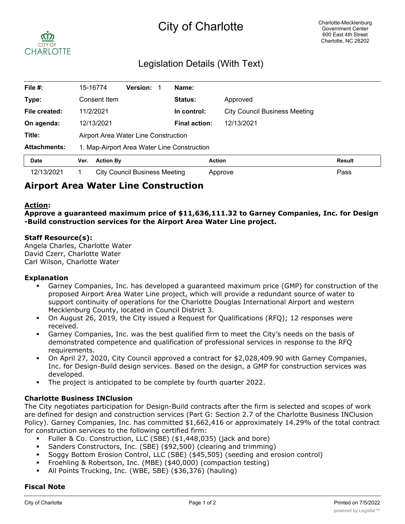# City of Charlotte



# Legislation Details (With Text)

| File #:             |                                             | 15-16774         | <b>Version:</b>               |  | Name:                |                                      |               |
|---------------------|---------------------------------------------|------------------|-------------------------------|--|----------------------|--------------------------------------|---------------|
| Type:               |                                             | Consent Item     |                               |  | <b>Status:</b>       | Approved                             |               |
| File created:       |                                             | 11/2/2021        |                               |  | In control:          | <b>City Council Business Meeting</b> |               |
| On agenda:          |                                             | 12/13/2021       |                               |  | <b>Final action:</b> | 12/13/2021                           |               |
| Title:              | Airport Area Water Line Construction        |                  |                               |  |                      |                                      |               |
| <b>Attachments:</b> | 1. Map-Airport Area Water Line Construction |                  |                               |  |                      |                                      |               |
| <b>Date</b>         | Ver.                                        | <b>Action By</b> |                               |  |                      | <b>Action</b>                        | <b>Result</b> |
| 12/13/2021          |                                             |                  | City Council Business Meeting |  |                      | Approve                              | Pass          |

# **Airport Area Water Line Construction**

#### **Action:**

**Approve a guaranteed maximum price of \$11,636,111.32 to Garney Companies, Inc. for Design -Build construction services for the Airport Area Water Line project.**

#### **Staff Resource(s):**

Angela Charles, Charlotte Water David Czerr, Charlotte Water Carl Wilson, Charlotte Water

#### **Explanation**

- § Garney Companies, Inc. has developed a guaranteed maximum price (GMP) for construction of the proposed Airport Area Water Line project, which will provide a redundant source of water to support continuity of operations for the Charlotte Douglas International Airport and western Mecklenburg County, located in Council District 3.
- On August 26, 2019, the City issued a Request for Qualifications (RFQ); 12 responses were received.
- § Garney Companies, Inc. was the best qualified firm to meet the City's needs on the basis of demonstrated competence and qualification of professional services in response to the RFQ requirements.
- On April 27, 2020, City Council approved a contract for \$2,028,409.90 with Garney Companies, Inc. for Design-Build design services. Based on the design, a GMP for construction services was developed.
- § The project is anticipated to be complete by fourth quarter 2022.

#### **Charlotte Business INClusion**

The City negotiates participation for Design-Build contracts after the firm is selected and scopes of work are defined for design and construction services (Part G: Section 2.7 of the Charlotte Business INClusion Policy). Garney Companies, Inc. has committed \$1,662,416 or approximately 14.29% of the total contract for construction services to the following certified firm:

- § Fuller & Co. Construction, LLC (SBE) (\$1,448,035) (jack and bore)
- § Sanders Constructors, Inc. (SBE) (\$92,500) (clearing and trimming)
- § Soggy Bottom Erosion Control, LLC (SBE) (\$45,505) (seeding and erosion control)
- § Froehling & Robertson, Inc. (MBE) (\$40,000) (compaction testing)
- § All Points Trucking, Inc. (WBE, SBE) (\$36,376) (hauling)

#### **Fiscal Note**